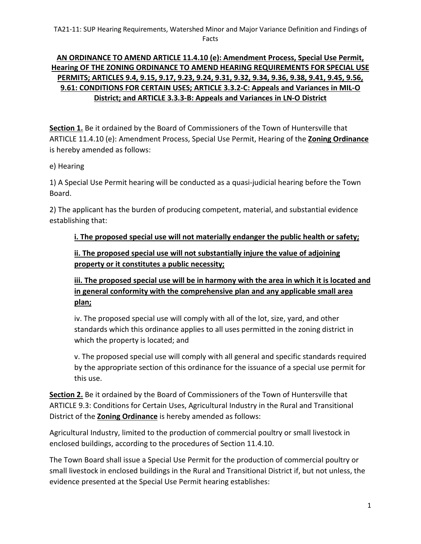## **AN ORDINANCE TO AMEND ARTICLE 11.4.10 (e): Amendment Process, Special Use Permit, Hearing OF THE ZONING ORDINANCE TO AMEND HEARING REQUIREMENTS FOR SPECIAL USE PERMITS; ARTICLES 9.4, 9.15, 9.17, 9.23, 9.24, 9.31, 9.32, 9.34, 9.36, 9.38, 9.41, 9.45, 9.56, 9.61: CONDITIONS FOR CERTAIN USES; ARTICLE 3.3.2-C: Appeals and Variances in MIL-O District; and ARTICLE 3.3.3-B: Appeals and Variances in LN-O District**

**Section 1.** Be it ordained by the Board of Commissioners of the Town of Huntersville that ARTICLE 11.4.10 (e): Amendment Process, Special Use Permit, Hearing of the **Zoning Ordinance** is hereby amended as follows:

## e) Hearing

1) A Special Use Permit hearing will be conducted as a quasi-judicial hearing before the Town Board.

2) The applicant has the burden of producing competent, material, and substantial evidence establishing that:

### **i. The proposed special use will not materially endanger the public health or safety;**

**ii. The proposed special use will not substantially injure the value of adjoining property or it constitutes a public necessity;** 

**iii. The proposed special use will be in harmony with the area in which it is located and in general conformity with the comprehensive plan and any applicable small area plan;**

iv. The proposed special use will comply with all of the lot, size, yard, and other standards which this ordinance applies to all uses permitted in the zoning district in which the property is located; and

v. The proposed special use will comply with all general and specific standards required by the appropriate section of this ordinance for the issuance of a special use permit for this use.

**Section 2.** Be it ordained by the Board of Commissioners of the Town of Huntersville that ARTICLE 9.3: Conditions for Certain Uses, Agricultural Industry in the Rural and Transitional District of the **Zoning Ordinance** is hereby amended as follows:

Agricultural Industry, limited to the production of commercial poultry or small livestock in enclosed buildings, according to the procedures of Section 11.4.10.

The Town Board shall issue a Special Use Permit for the production of commercial poultry or small livestock in enclosed buildings in the Rural and Transitional District if, but not unless, the evidence presented at the Special Use Permit hearing establishes: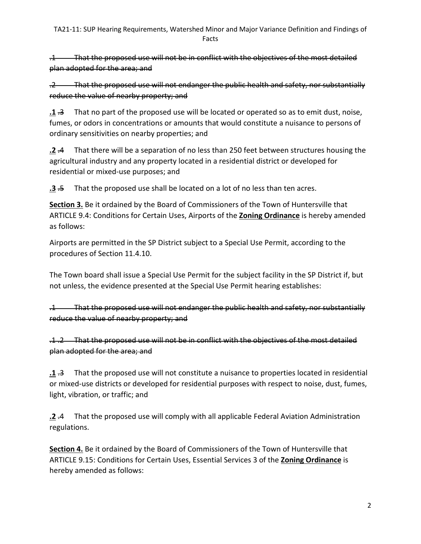.1 That the proposed use will not be in conflict with the objectives of the most detailed plan adopted for the area; and

.2 That the proposed use will not endanger the public health and safety, nor substantially reduce the value of nearby property; and

**.1** .3 That no part of the proposed use will be located or operated so as to emit dust, noise, fumes, or odors in concentrations or amounts that would constitute a nuisance to persons of ordinary sensitivities on nearby properties; and

**.2** .4 That there will be a separation of no less than 250 feet between structures housing the agricultural industry and any property located in a residential district or developed for residential or mixed-use purposes; and

**.3** .5 That the proposed use shall be located on a lot of no less than ten acres.

**Section 3.** Be it ordained by the Board of Commissioners of the Town of Huntersville that ARTICLE 9.4: Conditions for Certain Uses, Airports of the **Zoning Ordinance** is hereby amended as follows:

Airports are permitted in the SP District subject to a Special Use Permit, according to the procedures of Section 11.4.10.

The Town board shall issue a Special Use Permit for the subject facility in the SP District if, but not unless, the evidence presented at the Special Use Permit hearing establishes:

.1 That the proposed use will not endanger the public health and safety, nor substantially reduce the value of nearby property; and

.1 .2 That the proposed use will not be in conflict with the objectives of the most detailed plan adopted for the area; and

**.1** .3 That the proposed use will not constitute a nuisance to properties located in residential or mixed-use districts or developed for residential purposes with respect to noise, dust, fumes, light, vibration, or traffic; and

**.2** .4 That the proposed use will comply with all applicable Federal Aviation Administration regulations.

**Section 4.** Be it ordained by the Board of Commissioners of the Town of Huntersville that ARTICLE 9.15: Conditions for Certain Uses, Essential Services 3 of the **Zoning Ordinance** is hereby amended as follows: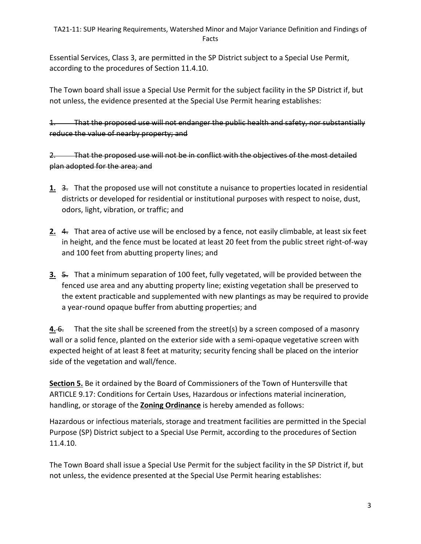Essential Services, Class 3, are permitted in the SP District subject to a Special Use Permit, according to the procedures of Section 11.4.10.

The Town board shall issue a Special Use Permit for the subject facility in the SP District if, but not unless, the evidence presented at the Special Use Permit hearing establishes:

1. That the proposed use will not endanger the public health and safety, nor substantially reduce the value of nearby property; and

2. That the proposed use will not be in conflict with the objectives of the most detailed plan adopted for the area; and

- **1.** 3. That the proposed use will not constitute a nuisance to properties located in residential districts or developed for residential or institutional purposes with respect to noise, dust, odors, light, vibration, or traffic; and
- **2.** 4. That area of active use will be enclosed by a fence, not easily climbable, at least six feet in height, and the fence must be located at least 20 feet from the public street right-of-way and 100 feet from abutting property lines; and
- **3.** 5. That a minimum separation of 100 feet, fully vegetated, will be provided between the fenced use area and any abutting property line; existing vegetation shall be preserved to the extent practicable and supplemented with new plantings as may be required to provide a year-round opaque buffer from abutting properties; and

**4.** 6. That the site shall be screened from the street(s) by a screen composed of a masonry wall or a solid fence, planted on the exterior side with a semi-opaque vegetative screen with expected height of at least 8 feet at maturity; security fencing shall be placed on the interior side of the vegetation and wall/fence.

**Section 5.** Be it ordained by the Board of Commissioners of the Town of Huntersville that ARTICLE 9.17: Conditions for Certain Uses, Hazardous or infections material incineration, handling, or storage of the **Zoning Ordinance** is hereby amended as follows:

Hazardous or infectious materials, storage and treatment facilities are permitted in the Special Purpose (SP) District subject to a Special Use Permit, according to the procedures of Section 11.4.10.

The Town Board shall issue a Special Use Permit for the subject facility in the SP District if, but not unless, the evidence presented at the Special Use Permit hearing establishes: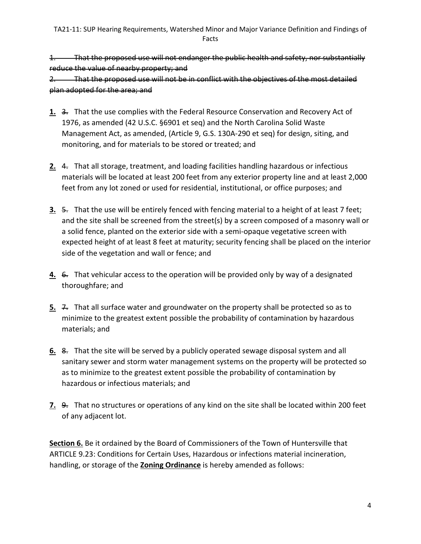1. That the proposed use will not endanger the public health and safety, nor substantially reduce the value of nearby property; and 2. That the proposed use will not be in conflict with the objectives of the most detailed plan adopted for the area; and

- 1. 3. That the use complies with the Federal Resource Conservation and Recovery Act of 1976, as amended (42 U.S.C. §6901 et seq) and the North Carolina Solid Waste Management Act, as amended, (Article 9, G.S. 130A-290 et seq) for design, siting, and monitoring, and for materials to be stored or treated; and
- **2.** 4. That all storage, treatment, and loading facilities handling hazardous or infectious materials will be located at least 200 feet from any exterior property line and at least 2,000 feet from any lot zoned or used for residential, institutional, or office purposes; and
- **3.** 5. That the use will be entirely fenced with fencing material to a height of at least 7 feet; and the site shall be screened from the street(s) by a screen composed of a masonry wall or a solid fence, planted on the exterior side with a semi-opaque vegetative screen with expected height of at least 8 feet at maturity; security fencing shall be placed on the interior side of the vegetation and wall or fence; and
- **4.** 6. That vehicular access to the operation will be provided only by way of a designated thoroughfare; and
- **5.** <del>7.</del> That all surface water and groundwater on the property shall be protected so as to minimize to the greatest extent possible the probability of contamination by hazardous materials; and
- **6.** 8. That the site will be served by a publicly operated sewage disposal system and all sanitary sewer and storm water management systems on the property will be protected so as to minimize to the greatest extent possible the probability of contamination by hazardous or infectious materials; and
- **7.** 9. That no structures or operations of any kind on the site shall be located within 200 feet of any adjacent lot.

**Section 6.** Be it ordained by the Board of Commissioners of the Town of Huntersville that ARTICLE 9.23: Conditions for Certain Uses, Hazardous or infections material incineration, handling, or storage of the **Zoning Ordinance** is hereby amended as follows: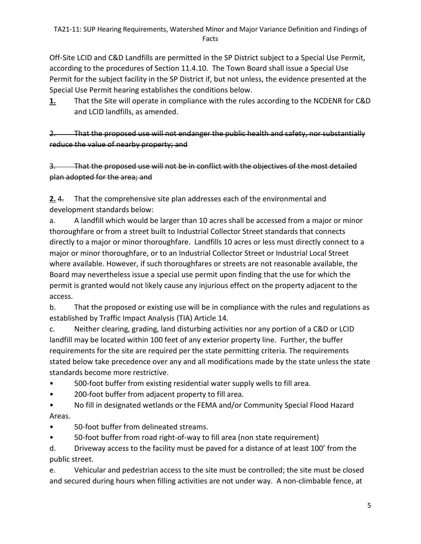Off-Site LCID and C&D Landfills are permitted in the SP District subject to a Special Use Permit, according to the procedures of Section 11.4.10. The Town Board shall issue a Special Use Permit for the subject facility in the SP District if, but not unless, the evidence presented at the Special Use Permit hearing establishes the conditions below.

**1.** That the Site will operate in compliance with the rules according to the NCDENR for C&D and LCID landfills, as amended.

2. That the proposed use will not endanger the public health and safety, nor substantially reduce the value of nearby property; and

3. That the proposed use will not be in conflict with the objectives of the most detailed plan adopted for the area; and

**2.** 4. That the comprehensive site plan addresses each of the environmental and development standards below:

a. A landfill which would be larger than 10 acres shall be accessed from a major or minor thoroughfare or from a street built to Industrial Collector Street standards that connects directly to a major or minor thoroughfare. Landfills 10 acres or less must directly connect to a major or minor thoroughfare, or to an Industrial Collector Street or Industrial Local Street where available. However, if such thoroughfares or streets are not reasonable available, the Board may nevertheless issue a special use permit upon finding that the use for which the permit is granted would not likely cause any injurious effect on the property adjacent to the access.

b. That the proposed or existing use will be in compliance with the rules and regulations as established by Traffic Impact Analysis (TIA) Article 14.

c. Neither clearing, grading, land disturbing activities nor any portion of a C&D or LCID landfill may be located within 100 feet of any exterior property line. Further, the buffer requirements for the site are required per the state permitting criteria. The requirements stated below take precedence over any and all modifications made by the state unless the state standards become more restrictive.

- 500-foot buffer from existing residential water supply wells to fill area.
- 200-foot buffer from adjacent property to fill area.
- No fill in designated wetlands or the FEMA and/or Community Special Flood Hazard Areas.
- 50-foot buffer from delineated streams.
- 50-foot buffer from road right-of-way to fill area (non state requirement)

d. Driveway access to the facility must be paved for a distance of at least 100' from the public street.

e. Vehicular and pedestrian access to the site must be controlled; the site must be closed and secured during hours when filling activities are not under way. A non-climbable fence, at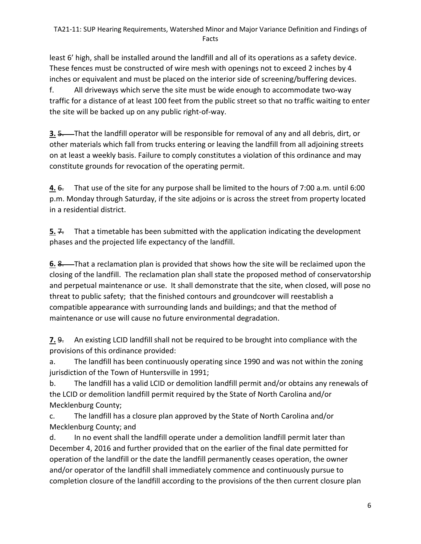least 6' high, shall be installed around the landfill and all of its operations as a safety device. These fences must be constructed of wire mesh with openings not to exceed 2 inches by 4 inches or equivalent and must be placed on the interior side of screening/buffering devices. f. All driveways which serve the site must be wide enough to accommodate two-way traffic for a distance of at least 100 feet from the public street so that no traffic waiting to enter the site will be backed up on any public right-of-way.

**3.** 5. That the landfill operator will be responsible for removal of any and all debris, dirt, or other materials which fall from trucks entering or leaving the landfill from all adjoining streets on at least a weekly basis. Failure to comply constitutes a violation of this ordinance and may constitute grounds for revocation of the operating permit.

**4.** 6. That use of the site for any purpose shall be limited to the hours of 7:00 a.m. until 6:00 p.m. Monday through Saturday, if the site adjoins or is across the street from property located in a residential district.

**5.**  $\overline{4}$ . That a timetable has been submitted with the application indicating the development phases and the projected life expectancy of the landfill.

**6. 8.** That a reclamation plan is provided that shows how the site will be reclaimed upon the closing of the landfill. The reclamation plan shall state the proposed method of conservatorship and perpetual maintenance or use. It shall demonstrate that the site, when closed, will pose no threat to public safety; that the finished contours and groundcover will reestablish a compatible appearance with surrounding lands and buildings; and that the method of maintenance or use will cause no future environmental degradation.

**7.** 9. An existing LCID landfill shall not be required to be brought into compliance with the provisions of this ordinance provided:

a. The landfill has been continuously operating since 1990 and was not within the zoning jurisdiction of the Town of Huntersville in 1991;

b. The landfill has a valid LCID or demolition landfill permit and/or obtains any renewals of the LCID or demolition landfill permit required by the State of North Carolina and/or Mecklenburg County;

c. The landfill has a closure plan approved by the State of North Carolina and/or Mecklenburg County; and

d. In no event shall the landfill operate under a demolition landfill permit later than December 4, 2016 and further provided that on the earlier of the final date permitted for operation of the landfill or the date the landfill permanently ceases operation, the owner and/or operator of the landfill shall immediately commence and continuously pursue to completion closure of the landfill according to the provisions of the then current closure plan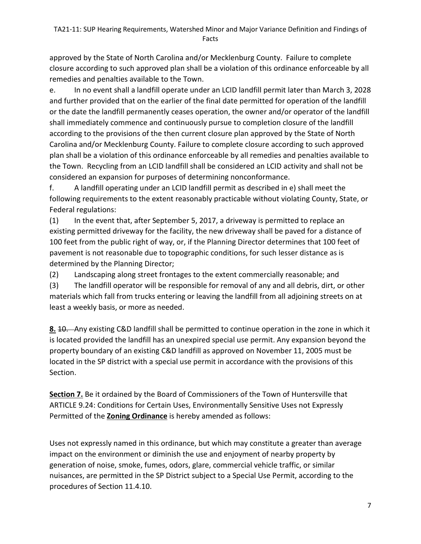approved by the State of North Carolina and/or Mecklenburg County. Failure to complete closure according to such approved plan shall be a violation of this ordinance enforceable by all remedies and penalties available to the Town.

e. In no event shall a landfill operate under an LCID landfill permit later than March 3, 2028 and further provided that on the earlier of the final date permitted for operation of the landfill or the date the landfill permanently ceases operation, the owner and/or operator of the landfill shall immediately commence and continuously pursue to completion closure of the landfill according to the provisions of the then current closure plan approved by the State of North Carolina and/or Mecklenburg County. Failure to complete closure according to such approved plan shall be a violation of this ordinance enforceable by all remedies and penalties available to the Town. Recycling from an LCID landfill shall be considered an LCID activity and shall not be considered an expansion for purposes of determining nonconformance.

f. A landfill operating under an LCID landfill permit as described in e) shall meet the following requirements to the extent reasonably practicable without violating County, State, or Federal regulations:

(1) In the event that, after September 5, 2017, a driveway is permitted to replace an existing permitted driveway for the facility, the new driveway shall be paved for a distance of 100 feet from the public right of way, or, if the Planning Director determines that 100 feet of pavement is not reasonable due to topographic conditions, for such lesser distance as is determined by the Planning Director;

(2) Landscaping along street frontages to the extent commercially reasonable; and

(3) The landfill operator will be responsible for removal of any and all debris, dirt, or other materials which fall from trucks entering or leaving the landfill from all adjoining streets on at least a weekly basis, or more as needed.

**8.** 10. Any existing C&D landfill shall be permitted to continue operation in the zone in which it is located provided the landfill has an unexpired special use permit. Any expansion beyond the property boundary of an existing C&D landfill as approved on November 11, 2005 must be located in the SP district with a special use permit in accordance with the provisions of this Section.

**Section 7.** Be it ordained by the Board of Commissioners of the Town of Huntersville that ARTICLE 9.24: Conditions for Certain Uses, Environmentally Sensitive Uses not Expressly Permitted of the **Zoning Ordinance** is hereby amended as follows:

Uses not expressly named in this ordinance, but which may constitute a greater than average impact on the environment or diminish the use and enjoyment of nearby property by generation of noise, smoke, fumes, odors, glare, commercial vehicle traffic, or similar nuisances, are permitted in the SP District subject to a Special Use Permit, according to the procedures of Section 11.4.10.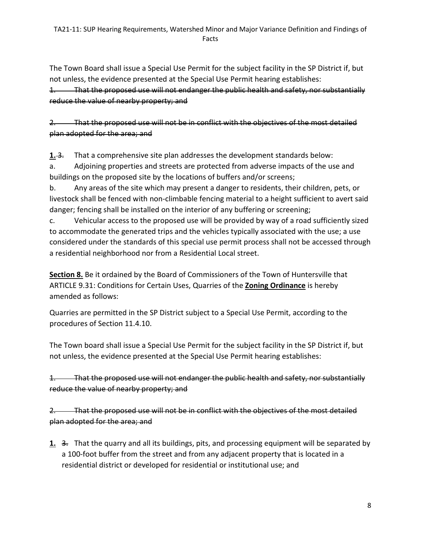The Town Board shall issue a Special Use Permit for the subject facility in the SP District if, but not unless, the evidence presented at the Special Use Permit hearing establishes: 1. That the proposed use will not endanger the public health and safety, nor substantially reduce the value of nearby property; and

2. That the proposed use will not be in conflict with the objectives of the most detailed plan adopted for the area; and

**1.-3.** That a comprehensive site plan addresses the development standards below:

a. Adjoining properties and streets are protected from adverse impacts of the use and buildings on the proposed site by the locations of buffers and/or screens;

b. Any areas of the site which may present a danger to residents, their children, pets, or livestock shall be fenced with non-climbable fencing material to a height sufficient to avert said danger; fencing shall be installed on the interior of any buffering or screening;

c. Vehicular access to the proposed use will be provided by way of a road sufficiently sized to accommodate the generated trips and the vehicles typically associated with the use; a use considered under the standards of this special use permit process shall not be accessed through a residential neighborhood nor from a Residential Local street.

**Section 8.** Be it ordained by the Board of Commissioners of the Town of Huntersville that ARTICLE 9.31: Conditions for Certain Uses, Quarries of the **Zoning Ordinance** is hereby amended as follows:

Quarries are permitted in the SP District subject to a Special Use Permit, according to the procedures of Section 11.4.10.

The Town board shall issue a Special Use Permit for the subject facility in the SP District if, but not unless, the evidence presented at the Special Use Permit hearing establishes:

1. That the proposed use will not endanger the public health and safety, nor substantially reduce the value of nearby property; and

2. That the proposed use will not be in conflict with the objectives of the most detailed plan adopted for the area; and

**1.** 3. That the quarry and all its buildings, pits, and processing equipment will be separated by a 100-foot buffer from the street and from any adjacent property that is located in a residential district or developed for residential or institutional use; and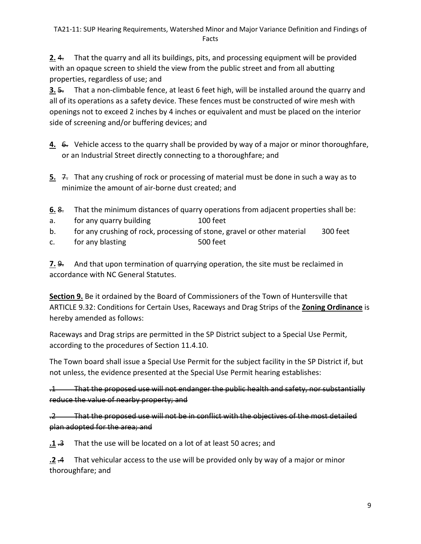**2.** 4. That the quarry and all its buildings, pits, and processing equipment will be provided with an opaque screen to shield the view from the public street and from all abutting properties, regardless of use; and

**3.** 5. That a non-climbable fence, at least 6 feet high, will be installed around the quarry and all of its operations as a safety device. These fences must be constructed of wire mesh with openings not to exceed 2 inches by 4 inches or equivalent and must be placed on the interior side of screening and/or buffering devices; and

- **4.** 6. Vehicle access to the quarry shall be provided by way of a major or minor thoroughfare, or an Industrial Street directly connecting to a thoroughfare; and
- **5.** 7. That any crushing of rock or processing of material must be done in such a way as to minimize the amount of air-borne dust created; and
- **6.** 8. That the minimum distances of quarry operations from adjacent properties shall be:
- a. for any quarry building the 100 feet
- b. for any crushing of rock, processing of stone, gravel or other material 300 feet
- c. for any blasting the state of the state of the state of the state of the state of the state of the state of the state of the state of the state of the state of the state of the state of the state of the state of the sta

**7.** 9. And that upon termination of quarrying operation, the site must be reclaimed in accordance with NC General Statutes.

**Section 9.** Be it ordained by the Board of Commissioners of the Town of Huntersville that ARTICLE 9.32: Conditions for Certain Uses, Raceways and Drag Strips of the **Zoning Ordinance** is hereby amended as follows:

Raceways and Drag strips are permitted in the SP District subject to a Special Use Permit, according to the procedures of Section 11.4.10.

The Town board shall issue a Special Use Permit for the subject facility in the SP District if, but not unless, the evidence presented at the Special Use Permit hearing establishes:

.1 That the proposed use will not endanger the public health and safety, nor substantially reduce the value of nearby property; and

.2 That the proposed use will not be in conflict with the objectives of the most detailed plan adopted for the area; and

**1** .3 That the use will be located on a lot of at least 50 acres; and

**.2** .4 That vehicular access to the use will be provided only by way of a major or minor thoroughfare; and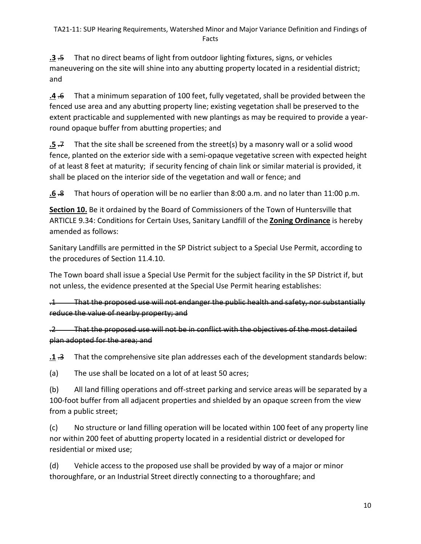**.3** .5 That no direct beams of light from outdoor lighting fixtures, signs, or vehicles maneuvering on the site will shine into any abutting property located in a residential district; and

**.4** .6 That a minimum separation of 100 feet, fully vegetated, shall be provided between the fenced use area and any abutting property line; existing vegetation shall be preserved to the extent practicable and supplemented with new plantings as may be required to provide a yearround opaque buffer from abutting properties; and

**.5**  $\neq$  That the site shall be screened from the street(s) by a masonry wall or a solid wood fence, planted on the exterior side with a semi-opaque vegetative screen with expected height of at least 8 feet at maturity; if security fencing of chain link or similar material is provided, it shall be placed on the interior side of the vegetation and wall or fence; and

**.6** .8 That hours of operation will be no earlier than 8:00 a.m. and no later than 11:00 p.m.

**Section 10.** Be it ordained by the Board of Commissioners of the Town of Huntersville that ARTICLE 9.34: Conditions for Certain Uses, Sanitary Landfill of the **Zoning Ordinance** is hereby amended as follows:

Sanitary Landfills are permitted in the SP District subject to a Special Use Permit, according to the procedures of Section 11.4.10.

The Town board shall issue a Special Use Permit for the subject facility in the SP District if, but not unless, the evidence presented at the Special Use Permit hearing establishes:

.1 That the proposed use will not endanger the public health and safety, nor substantially reduce the value of nearby property; and

.2 That the proposed use will not be in conflict with the objectives of the most detailed plan adopted for the area; and

**.1** .3 That the comprehensive site plan addresses each of the development standards below:

(a) The use shall be located on a lot of at least 50 acres;

(b) All land filling operations and off-street parking and service areas will be separated by a 100-foot buffer from all adjacent properties and shielded by an opaque screen from the view from a public street;

(c) No structure or land filling operation will be located within 100 feet of any property line nor within 200 feet of abutting property located in a residential district or developed for residential or mixed use;

(d) Vehicle access to the proposed use shall be provided by way of a major or minor thoroughfare, or an Industrial Street directly connecting to a thoroughfare; and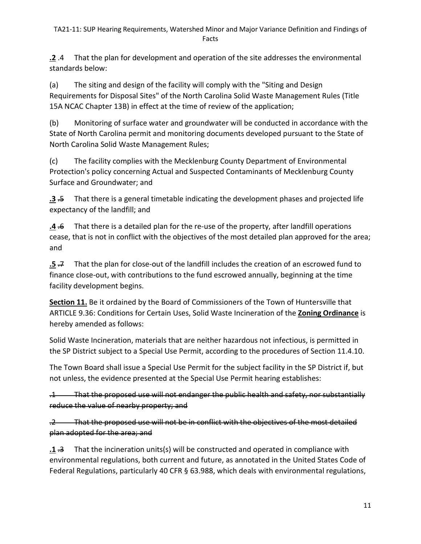#### TA21-11: SUP Hearing Requirements, Watershed Minor and Major Variance Definition and Findings of Facts

**.2** .4 That the plan for development and operation of the site addresses the environmental standards below:

(a) The siting and design of the facility will comply with the "Siting and Design Requirements for Disposal Sites" of the North Carolina Solid Waste Management Rules (Title 15A NCAC Chapter 13B) in effect at the time of review of the application;

(b) Monitoring of surface water and groundwater will be conducted in accordance with the State of North Carolina permit and monitoring documents developed pursuant to the State of North Carolina Solid Waste Management Rules;

(c) The facility complies with the Mecklenburg County Department of Environmental Protection's policy concerning Actual and Suspected Contaminants of Mecklenburg County Surface and Groundwater; and

**.3** .5 That there is a general timetable indicating the development phases and projected life expectancy of the landfill; and

**.4** .6 That there is a detailed plan for the re-use of the property, after landfill operations cease, that is not in conflict with the objectives of the most detailed plan approved for the area; and

**.5** .7 That the plan for close-out of the landfill includes the creation of an escrowed fund to finance close-out, with contributions to the fund escrowed annually, beginning at the time facility development begins.

**Section 11.** Be it ordained by the Board of Commissioners of the Town of Huntersville that ARTICLE 9.36: Conditions for Certain Uses, Solid Waste Incineration of the **Zoning Ordinance** is hereby amended as follows:

Solid Waste Incineration, materials that are neither hazardous not infectious, is permitted in the SP District subject to a Special Use Permit, according to the procedures of Section 11.4.10.

The Town Board shall issue a Special Use Permit for the subject facility in the SP District if, but not unless, the evidence presented at the Special Use Permit hearing establishes:

.1 That the proposed use will not endanger the public health and safety, nor substantially reduce the value of nearby property; and

.2 That the proposed use will not be in conflict with the objectives of the most detailed plan adopted for the area; and

**.1** .3 That the incineration units(s) will be constructed and operated in compliance with environmental regulations, both current and future, as annotated in the United States Code of Federal Regulations, particularly 40 CFR § 63.988, which deals with environmental regulations,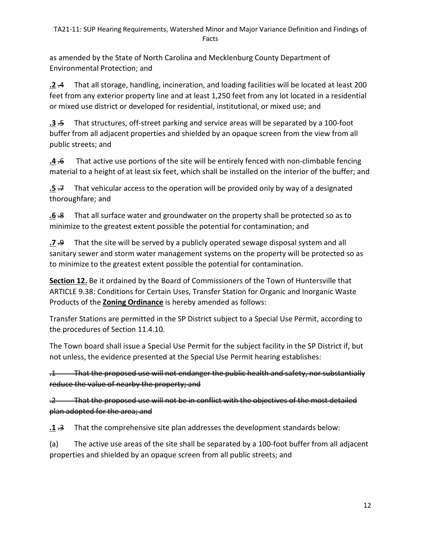as amended by the State of North Carolina and Mecklenburg County Department of Environmental Protection; and

**.2** .4 That all storage, handling, incineration, and loading facilities will be located at least 200 feet from any exterior property line and at least 1,250 feet from any lot located in a residential or mixed use district or developed for residential, institutional, or mixed use; and

**.3** .5 That structures, off-street parking and service areas will be separated by a 100-foot buffer from all adjacent properties and shielded by an opaque screen from the view from all public streets; and

**.4** .6 That active use portions of the site will be entirely fenced with non-climbable fencing material to a height of at least six feet, which shall be installed on the interior of the buffer; and

**.5** .7 That vehicular access to the operation will be provided only by way of a designated thoroughfare; and

**.6** .8 That all surface water and groundwater on the property shall be protected so as to minimize to the greatest extent possible the potential for contamination; and

**.7** .9 That the site will be served by a publicly operated sewage disposal system and all sanitary sewer and storm water management systems on the property will be protected so as to minimize to the greatest extent possible the potential for contamination.

**Section 12.** Be it ordained by the Board of Commissioners of the Town of Huntersville that ARTICLE 9.38: Conditions for Certain Uses, Transfer Station for Organic and Inorganic Waste Products of the **Zoning Ordinance** is hereby amended as follows:

Transfer Stations are permitted in the SP District subject to a Special Use Permit, according to the procedures of Section 11.4.10.

The Town board shall issue a Special Use Permit for the subject facility in the SP District if, but not unless, the evidence presented at the Special Use Permit hearing establishes:

.1 That the proposed use will not endanger the public health and safety, nor substantially reduce the value of nearby the property; and

.2 That the proposed use will not be in conflict with the objectives of the most detailed plan adopted for the area; and

**.1** .3 That the comprehensive site plan addresses the development standards below:

(a) The active use areas of the site shall be separated by a 100-foot buffer from all adjacent properties and shielded by an opaque screen from all public streets; and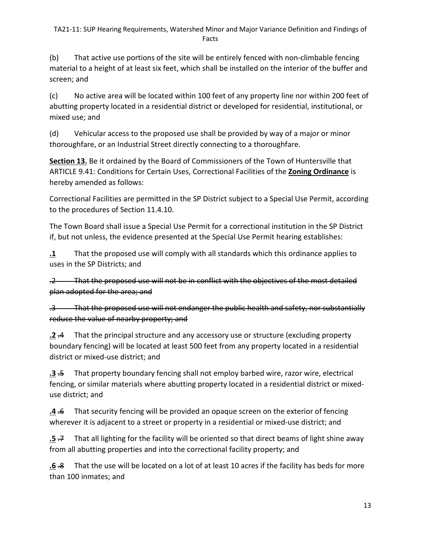(b) That active use portions of the site will be entirely fenced with non-climbable fencing material to a height of at least six feet, which shall be installed on the interior of the buffer and screen; and

(c) No active area will be located within 100 feet of any property line nor within 200 feet of abutting property located in a residential district or developed for residential, institutional, or mixed use; and

(d) Vehicular access to the proposed use shall be provided by way of a major or minor thoroughfare, or an Industrial Street directly connecting to a thoroughfare.

**Section 13.** Be it ordained by the Board of Commissioners of the Town of Huntersville that ARTICLE 9.41: Conditions for Certain Uses, Correctional Facilities of the **Zoning Ordinance** is hereby amended as follows:

Correctional Facilities are permitted in the SP District subject to a Special Use Permit, according to the procedures of Section 11.4.10.

The Town Board shall issue a Special Use Permit for a correctional institution in the SP District if, but not unless, the evidence presented at the Special Use Permit hearing establishes:

**.1** That the proposed use will comply with all standards which this ordinance applies to uses in the SP Districts; and

.2 That the proposed use will not be in conflict with the objectives of the most detailed plan adopted for the area; and

.3 That the proposed use will not endanger the public health and safety, nor substantially reduce the value of nearby property; and

**.2** .4 That the principal structure and any accessory use or structure (excluding property boundary fencing) will be located at least 500 feet from any property located in a residential district or mixed-use district; and

**.3** .5 That property boundary fencing shall not employ barbed wire, razor wire, electrical fencing, or similar materials where abutting property located in a residential district or mixeduse district; and

**.4** .6 That security fencing will be provided an opaque screen on the exterior of fencing wherever it is adjacent to a street or property in a residential or mixed-use district; and

**.5** .7 That all lighting for the facility will be oriented so that direct beams of light shine away from all abutting properties and into the correctional facility property; and

**.6** .8 That the use will be located on a lot of at least 10 acres if the facility has beds for more than 100 inmates; and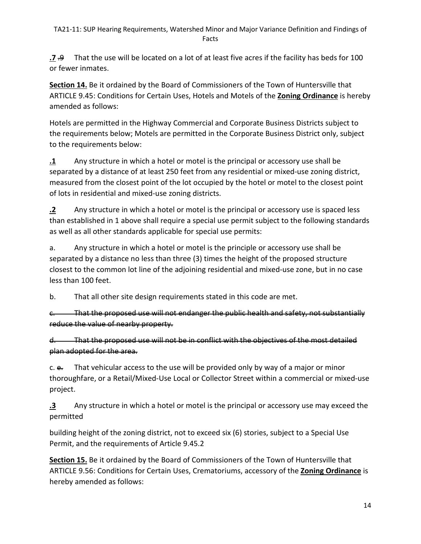**.7** .9 That the use will be located on a lot of at least five acres if the facility has beds for 100 or fewer inmates.

**Section 14.** Be it ordained by the Board of Commissioners of the Town of Huntersville that ARTICLE 9.45: Conditions for Certain Uses, Hotels and Motels of the **Zoning Ordinance** is hereby amended as follows:

Hotels are permitted in the Highway Commercial and Corporate Business Districts subject to the requirements below; Motels are permitted in the Corporate Business District only, subject to the requirements below:

**.1** Any structure in which a hotel or motel is the principal or accessory use shall be separated by a distance of at least 250 feet from any residential or mixed-use zoning district, measured from the closest point of the lot occupied by the hotel or motel to the closest point of lots in residential and mixed-use zoning districts.

**.2** Any structure in which a hotel or motel is the principal or accessory use is spaced less than established in 1 above shall require a special use permit subject to the following standards as well as all other standards applicable for special use permits:

a. Any structure in which a hotel or motel is the principle or accessory use shall be separated by a distance no less than three (3) times the height of the proposed structure closest to the common lot line of the adjoining residential and mixed-use zone, but in no case less than 100 feet.

b. That all other site design requirements stated in this code are met.

c. That the proposed use will not endanger the public health and safety, not substantially reduce the value of nearby property.

d. That the proposed use will not be in conflict with the objectives of the most detailed plan adopted for the area.

c.  $e$ . That vehicular access to the use will be provided only by way of a major or minor thoroughfare, or a Retail/Mixed-Use Local or Collector Street within a commercial or mixed-use project.

**.3** Any structure in which a hotel or motel is the principal or accessory use may exceed the permitted

building height of the zoning district, not to exceed six (6) stories, subject to a Special Use Permit, and the requirements of Article 9.45.2

**Section 15.** Be it ordained by the Board of Commissioners of the Town of Huntersville that ARTICLE 9.56: Conditions for Certain Uses, Crematoriums, accessory of the **Zoning Ordinance** is hereby amended as follows: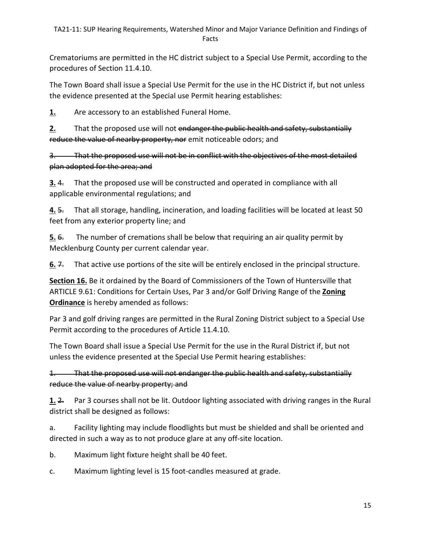#### TA21-11: SUP Hearing Requirements, Watershed Minor and Major Variance Definition and Findings of Facts

Crematoriums are permitted in the HC district subject to a Special Use Permit, according to the procedures of Section 11.4.10.

The Town Board shall issue a Special Use Permit for the use in the HC District if, but not unless the evidence presented at the Special use Permit hearing establishes:

**1.** Are accessory to an established Funeral Home.

**2.** That the proposed use will not endanger the public health and safety, substantially reduce the value of nearby property, nor emit noticeable odors; and

3. That the proposed use will not be in conflict with the objectives of the most detailed plan adopted for the area; and

**3.** 4. That the proposed use will be constructed and operated in compliance with all applicable environmental regulations; and

**4.** 5. That all storage, handling, incineration, and loading facilities will be located at least 50 feet from any exterior property line; and

**5.** 6. The number of cremations shall be below that requiring an air quality permit by Mecklenburg County per current calendar year.

**6.** <del>7.</del> That active use portions of the site will be entirely enclosed in the principal structure.

**Section 16.** Be it ordained by the Board of Commissioners of the Town of Huntersville that ARTICLE 9.61: Conditions for Certain Uses, Par 3 and/or Golf Driving Range of the **Zoning Ordinance** is hereby amended as follows:

Par 3 and golf driving ranges are permitted in the Rural Zoning District subject to a Special Use Permit according to the procedures of Article 11.4.10.

The Town Board shall issue a Special Use Permit for the use in the Rural District if, but not unless the evidence presented at the Special Use Permit hearing establishes:

That the proposed use will not endanger the public health and safety, substantially reduce the value of nearby property; and

**1.** 2. Par 3 courses shall not be lit. Outdoor lighting associated with driving ranges in the Rural district shall be designed as follows:

a. Facility lighting may include floodlights but must be shielded and shall be oriented and directed in such a way as to not produce glare at any off-site location.

- b. Maximum light fixture height shall be 40 feet.
- c. Maximum lighting level is 15 foot-candles measured at grade.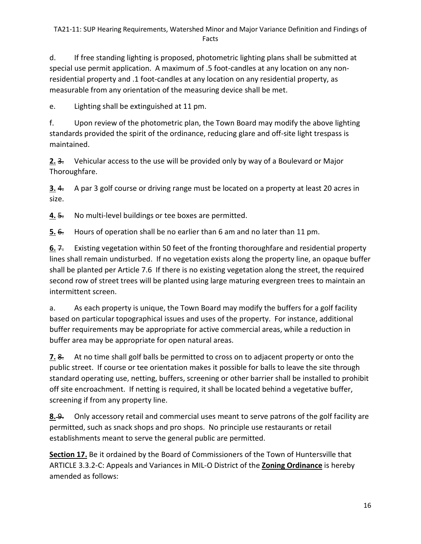d. If free standing lighting is proposed, photometric lighting plans shall be submitted at special use permit application. A maximum of .5 foot-candles at any location on any nonresidential property and .1 foot-candles at any location on any residential property, as measurable from any orientation of the measuring device shall be met.

e. Lighting shall be extinguished at 11 pm.

f. Upon review of the photometric plan, the Town Board may modify the above lighting standards provided the spirit of the ordinance, reducing glare and off-site light trespass is maintained.

**2.** 3. Vehicular access to the use will be provided only by way of a Boulevard or Major Thoroughfare.

**3.** 4. A par 3 golf course or driving range must be located on a property at least 20 acres in size.

**4.** 5. No multi-level buildings or tee boxes are permitted.

**5.** 6. Hours of operation shall be no earlier than 6 am and no later than 11 pm.

**6.** 7. Existing vegetation within 50 feet of the fronting thoroughfare and residential property lines shall remain undisturbed. If no vegetation exists along the property line, an opaque buffer shall be planted per Article 7.6 If there is no existing vegetation along the street, the required second row of street trees will be planted using large maturing evergreen trees to maintain an intermittent screen.

a. As each property is unique, the Town Board may modify the buffers for a golf facility based on particular topographical issues and uses of the property. For instance, additional buffer requirements may be appropriate for active commercial areas, while a reduction in buffer area may be appropriate for open natural areas.

**7.** 8. At no time shall golf balls be permitted to cross on to adjacent property or onto the public street. If course or tee orientation makes it possible for balls to leave the site through standard operating use, netting, buffers, screening or other barrier shall be installed to prohibit off site encroachment. If netting is required, it shall be located behind a vegetative buffer, screening if from any property line.

**8.** 9. Only accessory retail and commercial uses meant to serve patrons of the golf facility are permitted, such as snack shops and pro shops. No principle use restaurants or retail establishments meant to serve the general public are permitted.

**Section 17.** Be it ordained by the Board of Commissioners of the Town of Huntersville that ARTICLE 3.3.2-C: Appeals and Variances in MIL-O District of the **Zoning Ordinance** is hereby amended as follows: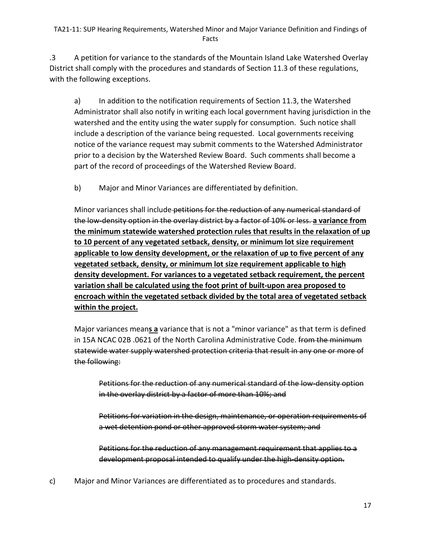.3 A petition for variance to the standards of the Mountain Island Lake Watershed Overlay District shall comply with the procedures and standards of Section 11.3 of these regulations, with the following exceptions.

a) In addition to the notification requirements of Section 11.3, the Watershed Administrator shall also notify in writing each local government having jurisdiction in the watershed and the entity using the water supply for consumption. Such notice shall include a description of the variance being requested. Local governments receiving notice of the variance request may submit comments to the Watershed Administrator prior to a decision by the Watershed Review Board. Such comments shall become a part of the record of proceedings of the Watershed Review Board.

b) Major and Minor Variances are differentiated by definition.

Minor variances shall include petitions for the reduction of any numerical standard of the low-density option in the overlay district by a factor of 10% or less. **a variance from the minimum statewide watershed protection rules that results in the relaxation of up to 10 percent of any vegetated setback, density, or minimum lot size requirement applicable to low density development, or the relaxation of up to five percent of any vegetated setback, density, or minimum lot size requirement applicable to high density development. For variances to a vegetated setback requirement, the percent variation shall be calculated using the foot print of built-upon area proposed to encroach within the vegetated setback divided by the total area of vegetated setback within the project.**

Major variances mean**s a** variance that is not a "minor variance" as that term is defined in 15A NCAC 02B .0621 of the North Carolina Administrative Code. from the minimum statewide water supply watershed protection criteria that result in any one or more of the following:

Petitions for the reduction of any numerical standard of the low-density option in the overlay district by a factor of more than 10%; and

Petitions for variation in the design, maintenance, or operation requirements of a wet detention pond or other approved storm water system; and

Petitions for the reduction of any management requirement that applies to a development proposal intended to qualify under the high-density option.

c) Major and Minor Variances are differentiated as to procedures and standards.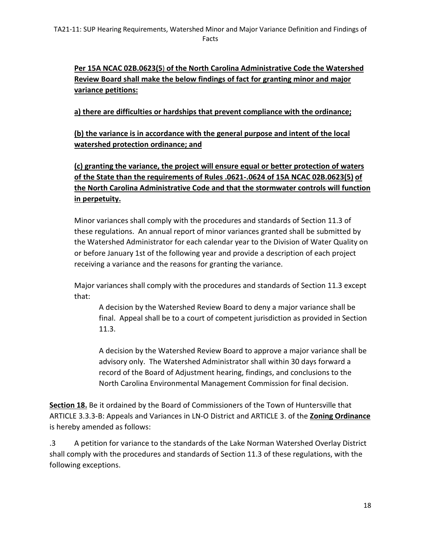**Per 15A NCAC 02B.0623(5**) **of the North Carolina Administrative Code the Watershed Review Board shall make the below findings of fact for granting minor and major variance petitions:**

**a) there are difficulties or hardships that prevent compliance with the ordinance;** 

**(b) the variance is in accordance with the general purpose and intent of the local watershed protection ordinance; and** 

**(c) granting the variance, the project will ensure equal or better protection of waters of the State than the requirements of Rules .0621-.0624 of 15A NCAC 02B.0623(5) of the North Carolina Administrative Code and that the stormwater controls will function in perpetuity.**

Minor variances shall comply with the procedures and standards of Section 11.3 of these regulations. An annual report of minor variances granted shall be submitted by the Watershed Administrator for each calendar year to the Division of Water Quality on or before January 1st of the following year and provide a description of each project receiving a variance and the reasons for granting the variance.

Major variances shall comply with the procedures and standards of Section 11.3 except that:

A decision by the Watershed Review Board to deny a major variance shall be final. Appeal shall be to a court of competent jurisdiction as provided in Section 11.3.

A decision by the Watershed Review Board to approve a major variance shall be advisory only. The Watershed Administrator shall within 30 days forward a record of the Board of Adjustment hearing, findings, and conclusions to the North Carolina Environmental Management Commission for final decision.

**Section 18.** Be it ordained by the Board of Commissioners of the Town of Huntersville that ARTICLE 3.3.3-B: Appeals and Variances in LN-O District and ARTICLE 3. of the **Zoning Ordinance** is hereby amended as follows:

.3 A petition for variance to the standards of the Lake Norman Watershed Overlay District shall comply with the procedures and standards of Section 11.3 of these regulations, with the following exceptions.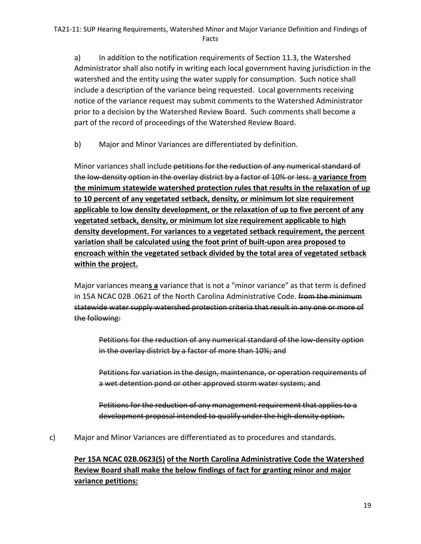a) In addition to the notification requirements of Section 11.3, the Watershed Administrator shall also notify in writing each local government having jurisdiction in the watershed and the entity using the water supply for consumption. Such notice shall include a description of the variance being requested. Local governments receiving notice of the variance request may submit comments to the Watershed Administrator prior to a decision by the Watershed Review Board. Such comments shall become a part of the record of proceedings of the Watershed Review Board.

b) Major and Minor Variances are differentiated by definition.

Minor variances shall include petitions for the reduction of any numerical standard of the low-density option in the overlay district by a factor of 10% or less. **a variance from the minimum statewide watershed protection rules that results in the relaxation of up to 10 percent of any vegetated setback, density, or minimum lot size requirement applicable to low density development, or the relaxation of up to five percent of any vegetated setback, density, or minimum lot size requirement applicable to high density development. For variances to a vegetated setback requirement, the percent variation shall be calculated using the foot print of built-upon area proposed to encroach within the vegetated setback divided by the total area of vegetated setback within the project.**

Major variances mean**s a** variance that is not a "minor variance" as that term is defined in 15A NCAC 02B .0621 of the North Carolina Administrative Code. from the minimum statewide water supply watershed protection criteria that result in any one or more of the following:

Petitions for the reduction of any numerical standard of the low-density option in the overlay district by a factor of more than 10%; and

Petitions for variation in the design, maintenance, or operation requirements of a wet detention pond or other approved storm water system; and

Petitions for the reduction of any management requirement that applies to a development proposal intended to qualify under the high-density option.

c) Major and Minor Variances are differentiated as to procedures and standards.

# **Per 15A NCAC 02B.0623(5) of the North Carolina Administrative Code the Watershed Review Board shall make the below findings of fact for granting minor and major variance petitions:**